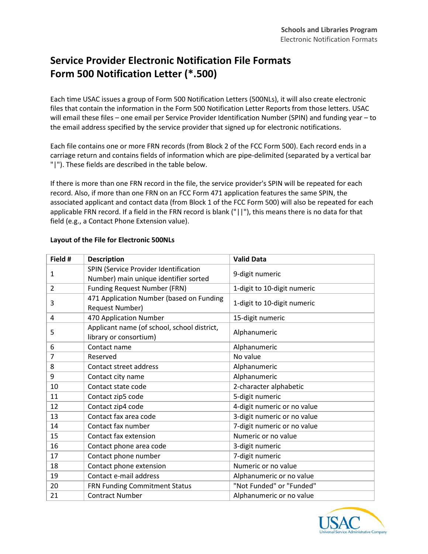## **Service Provider Electronic Notification File Formats Form 500 Notification Letter (\*.500)**

Each time USAC issues a group of Form 500 Notification Letters (500NLs), it will also create electronic files that contain the information in the Form 500 Notification Letter Reports from those letters. USAC will email these files – one email per Service Provider Identification Number (SPIN) and funding year – to the email address specified by the service provider that signed up for electronic notifications.

Each file contains one or more FRN records (from Block 2 of the FCC Form 500). Each record ends in a carriage return and contains fields of information which are pipe-delimited (separated by a vertical bar "|"). These fields are described in the table below.

If there is more than one FRN record in the file, the service provider's SPIN will be repeated for each record. Also, if more than one FRN on an FCC Form 471 application features the same SPIN, the associated applicant and contact data (from Block 1 of the FCC Form 500) will also be repeated for each applicable FRN record. If a field in the FRN record is blank ("||"), this means there is no data for that field (e.g., a Contact Phone Extension value).

| Field # | <b>Description</b>                                                             | <b>Valid Data</b>           |
|---------|--------------------------------------------------------------------------------|-----------------------------|
| 1       | SPIN (Service Provider Identification<br>Number) main unique identifier sorted | 9-digit numeric             |
| 2       | Funding Request Number (FRN)                                                   | 1-digit to 10-digit numeric |
| 3       | 471 Application Number (based on Funding<br>Request Number)                    | 1-digit to 10-digit numeric |
| 4       | 470 Application Number                                                         | 15-digit numeric            |
| 5       | Applicant name (of school, school district,<br>library or consortium)          | Alphanumeric                |
| 6       | Contact name                                                                   | Alphanumeric                |
| 7       | Reserved                                                                       | No value                    |
| 8       | Contact street address                                                         | Alphanumeric                |
| 9       | Contact city name                                                              | Alphanumeric                |
| 10      | Contact state code                                                             | 2-character alphabetic      |
| 11      | Contact zip5 code                                                              | 5-digit numeric             |
| 12      | Contact zip4 code                                                              | 4-digit numeric or no value |
| 13      | Contact fax area code                                                          | 3-digit numeric or no value |
| 14      | Contact fax number                                                             | 7-digit numeric or no value |
| 15      | Contact fax extension                                                          | Numeric or no value         |
| 16      | Contact phone area code                                                        | 3-digit numeric             |
| 17      | Contact phone number                                                           | 7-digit numeric             |
| 18      | Contact phone extension                                                        | Numeric or no value         |
| 19      | Contact e-mail address                                                         | Alphanumeric or no value    |
| 20      | FRN Funding Commitment Status                                                  | "Not Funded" or "Funded"    |
| 21      | <b>Contract Number</b>                                                         | Alphanumeric or no value    |

## **Layout of the File for Electronic 500NLs**

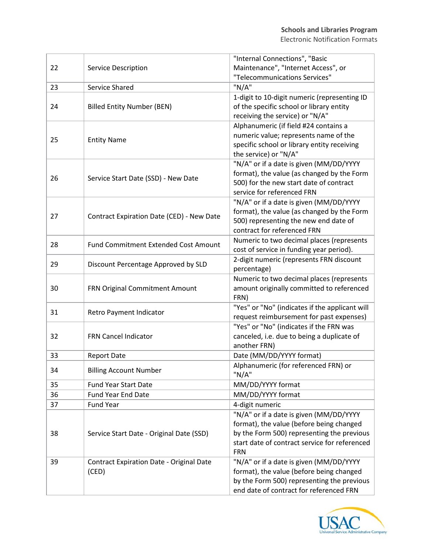|    |                                                 | "Internal Connections", "Basic                                                              |
|----|-------------------------------------------------|---------------------------------------------------------------------------------------------|
| 22 | <b>Service Description</b>                      | Maintenance", "Internet Access", or                                                         |
|    |                                                 | "Telecommunications Services"                                                               |
| 23 | Service Shared                                  | "N/A"                                                                                       |
|    |                                                 | 1-digit to 10-digit numeric (representing ID                                                |
| 24 | <b>Billed Entity Number (BEN)</b>               | of the specific school or library entity                                                    |
|    |                                                 | receiving the service) or "N/A"                                                             |
| 25 | <b>Entity Name</b>                              | Alphanumeric (if field #24 contains a                                                       |
|    |                                                 | numeric value; represents name of the                                                       |
|    |                                                 | specific school or library entity receiving                                                 |
|    |                                                 | the service) or "N/A"                                                                       |
|    |                                                 | "N/A" or if a date is given (MM/DD/YYYY                                                     |
| 26 | Service Start Date (SSD) - New Date             | format), the value (as changed by the Form                                                  |
|    |                                                 | 500) for the new start date of contract                                                     |
|    |                                                 | service for referenced FRN                                                                  |
|    |                                                 | "N/A" or if a date is given (MM/DD/YYYY                                                     |
| 27 | Contract Expiration Date (CED) - New Date       | format), the value (as changed by the Form                                                  |
|    |                                                 | 500) representing the new end date of                                                       |
|    |                                                 | contract for referenced FRN                                                                 |
| 28 | <b>Fund Commitment Extended Cost Amount</b>     | Numeric to two decimal places (represents                                                   |
|    |                                                 | cost of service in funding year period).                                                    |
| 29 | Discount Percentage Approved by SLD             | 2-digit numeric (represents FRN discount                                                    |
|    |                                                 | percentage)                                                                                 |
|    | FRN Original Commitment Amount                  | Numeric to two decimal places (represents                                                   |
| 30 |                                                 | amount originally committed to referenced                                                   |
|    |                                                 | FRN)                                                                                        |
| 31 | Retro Payment Indicator                         | "Yes" or "No" (indicates if the applicant will                                              |
|    |                                                 | request reimbursement for past expenses)                                                    |
|    | FRN Cancel Indicator                            | "Yes" or "No" (indicates if the FRN was                                                     |
| 32 |                                                 | canceled, i.e. due to being a duplicate of                                                  |
|    |                                                 | another FRN)                                                                                |
| 33 | <b>Report Date</b>                              | Date (MM/DD/YYYY format)                                                                    |
| 34 | <b>Billing Account Number</b>                   | Alphanumeric (for referenced FRN) or                                                        |
|    |                                                 | "N/A"                                                                                       |
| 35 | <b>Fund Year Start Date</b>                     | MM/DD/YYYY format                                                                           |
| 36 | <b>Fund Year End Date</b>                       | MM/DD/YYYY format                                                                           |
| 37 | <b>Fund Year</b>                                | 4-digit numeric                                                                             |
|    | Service Start Date - Original Date (SSD)        | "N/A" or if a date is given (MM/DD/YYYY                                                     |
| 38 |                                                 | format), the value (before being changed                                                    |
|    |                                                 | by the Form 500) representing the previous<br>start date of contract service for referenced |
|    |                                                 | <b>FRN</b>                                                                                  |
|    |                                                 |                                                                                             |
| 39 | <b>Contract Expiration Date - Original Date</b> | "N/A" or if a date is given (MM/DD/YYYY                                                     |
|    | (CED)                                           | format), the value (before being changed<br>by the Form 500) representing the previous      |
|    |                                                 | end date of contract for referenced FRN                                                     |
|    |                                                 |                                                                                             |